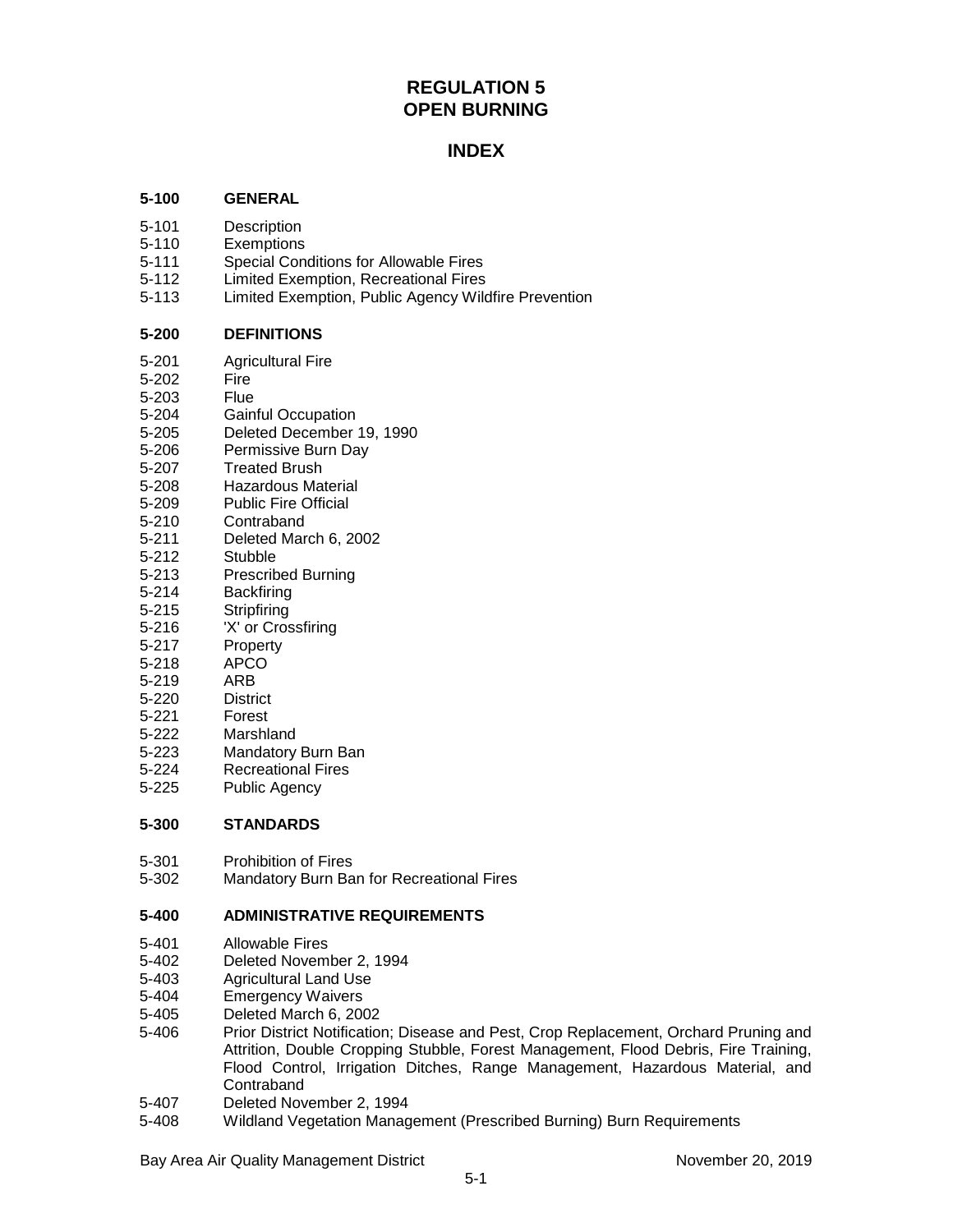# **REGULATION 5 OPEN BURNING**

# **INDEX**

# **5-100 GENERAL**

- 5-101 Description
- 5-110 Exemptions
- 5-111 Special Conditions for Allowable Fires
- 5-112 Limited Exemption, Recreational Fires
- Limited Exemption, Public Agency Wildfire Prevention

# **5-200 DEFINITIONS**

- 5-201 Agricultural Fire
- 5-202 Fire
- 5-203 Flue
- 5-204 Gainful Occupation<br>5-205 Deleted December
- Deleted December 19, 1990
- 5-206 Permissive Burn Day
- 5-207 Treated Brush
- 5-208 Hazardous Material<br>5-209 Public Fire Official
- Public Fire Official
- 5-210 Contraband
- 5-211 Deleted March 6, 2002
- 5-212 Stubble
- 5-213 Prescribed Burning<br>5-214 Backfiring
- 5-214 Backfiring<br>5-215 Stripfiring
- Stripfiring
- 5-216 'X' or Crossfiring
- 5-217 Property<br>5-218 APCO
- APCO
- 5-219 ARB
- 5-220 District
- 5-221 Forest
- 5-222 Marshland
- 5-223 Mandatory Burn Ban<br>5-224 Recreational Fires
- Recreational Fires
- 5-225 Public Agency

# **5-300 STANDARDS**

- 5-301 Prohibition of Fires
- 5-302 Mandatory Burn Ban for Recreational Fires

# **5-400 ADMINISTRATIVE REQUIREMENTS**

- 
- 5-401 Allowable Fires Deleted November 2, 1994
- 5-403 Agricultural Land Use
- 5-404 Emergency Waivers
- 5-405 Deleted March 6, 2002
- Prior District Notification; Disease and Pest, Crop Replacement, Orchard Pruning and Attrition, Double Cropping Stubble, Forest Management, Flood Debris, Fire Training, Flood Control, Irrigation Ditches, Range Management, Hazardous Material, and Contraband
- 5-407 Deleted November 2, 1994
- 5-408 Wildland Vegetation Management (Prescribed Burning) Burn Requirements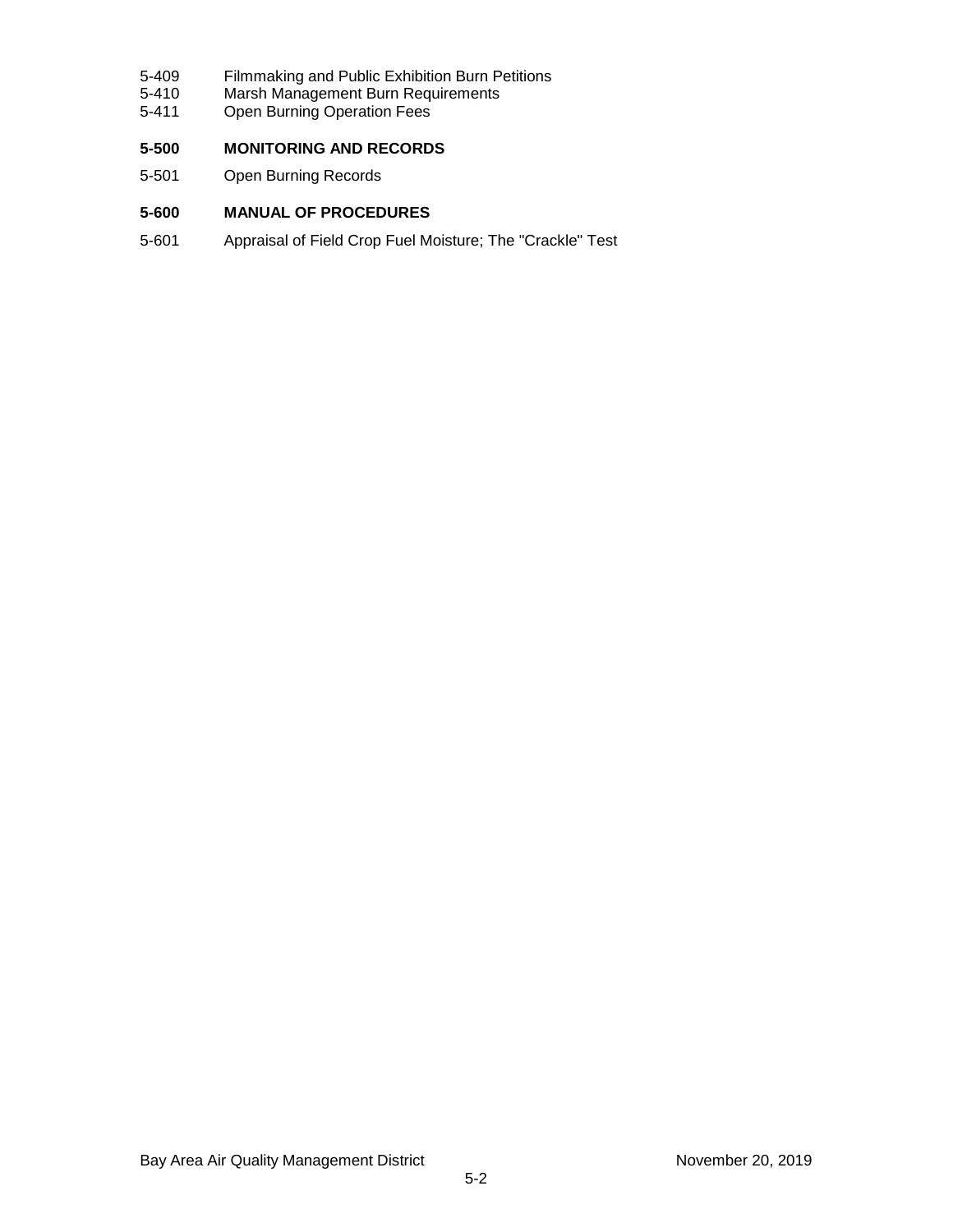- 5-409 Filmmaking and Public Exhibition Burn Petitions<br>5-410 Marsh Management Burn Requirements
- 5-410 Marsh Management Burn Requirements<br>5-411 Open Burning Operation Fees
- Open Burning Operation Fees

# **5-500 MONITORING AND RECORDS**

5-501 Open Burning Records

# **5-600 MANUAL OF PROCEDURES**

5-601 Appraisal of Field Crop Fuel Moisture; The "Crackle" Test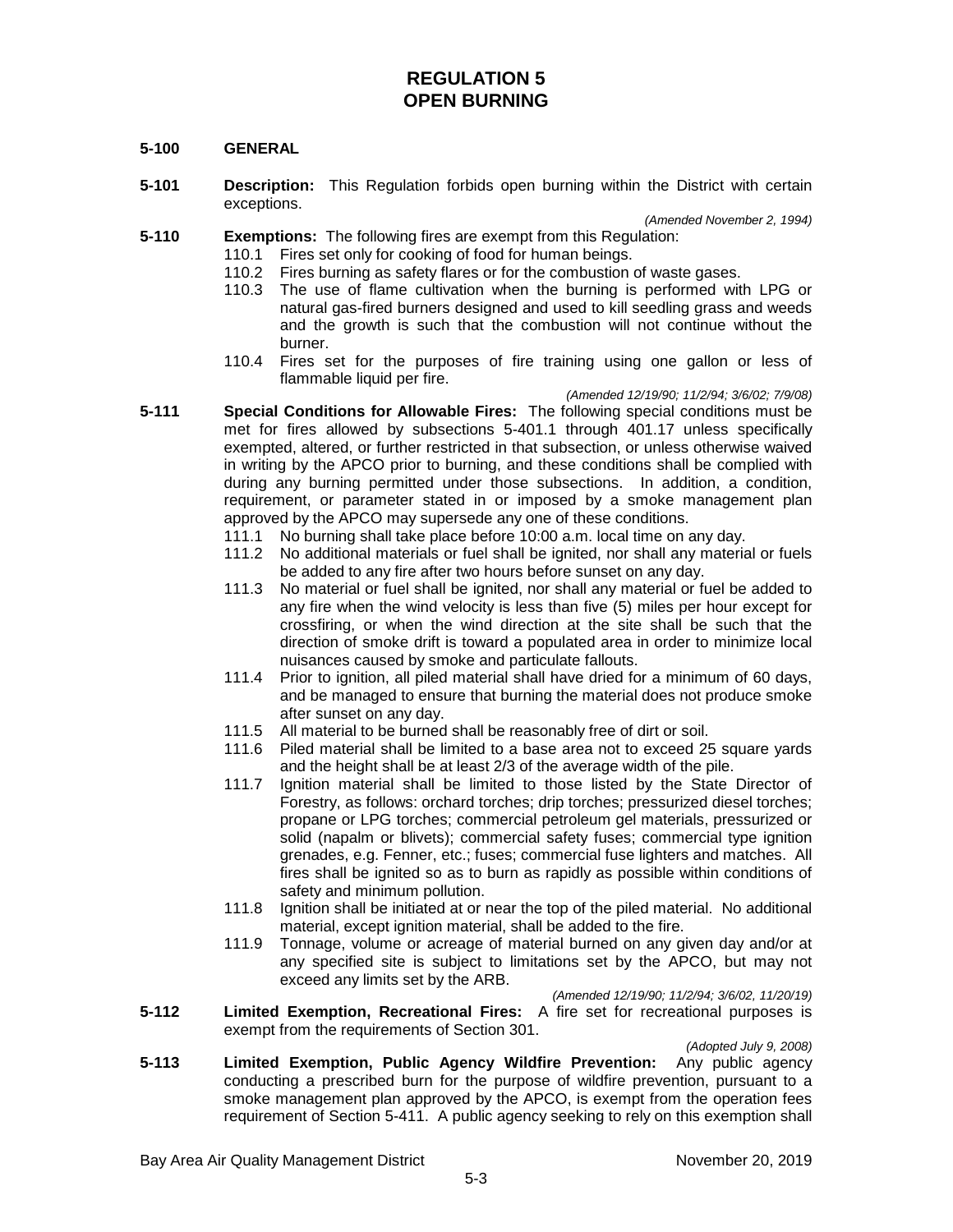# **REGULATION 5 OPEN BURNING**

# **5-100 GENERAL**

**5-101 Description:** This Regulation forbids open burning within the District with certain exceptions.

*(Amended November 2, 1994)* **5-110 Exemptions:** The following fires are exempt from this Regulation:

- 110.1 Fires set only for cooking of food for human beings.
- 110.2 Fires burning as safety flares or for the combustion of waste gases.<br>110.3 The use of flame cultivation when the burning is performed wit
	- The use of flame cultivation when the burning is performed with LPG or natural gas-fired burners designed and used to kill seedling grass and weeds and the growth is such that the combustion will not continue without the burner.
- 110.4 Fires set for the purposes of fire training using one gallon or less of flammable liquid per fire.

*(Amended 12/19/90; 11/2/94; 3/6/02; 7/9/08)*

- **5-111 Special Conditions for Allowable Fires:** The following special conditions must be met for fires allowed by subsections 5-401.1 through 401.17 unless specifically exempted, altered, or further restricted in that subsection, or unless otherwise waived in writing by the APCO prior to burning, and these conditions shall be complied with during any burning permitted under those subsections. In addition, a condition, requirement, or parameter stated in or imposed by a smoke management plan approved by the APCO may supersede any one of these conditions.
	- 111.1 No burning shall take place before 10:00 a.m. local time on any day.
	- 111.2 No additional materials or fuel shall be ignited, nor shall any material or fuels be added to any fire after two hours before sunset on any day.
	- 111.3 No material or fuel shall be ignited, nor shall any material or fuel be added to any fire when the wind velocity is less than five (5) miles per hour except for crossfiring, or when the wind direction at the site shall be such that the direction of smoke drift is toward a populated area in order to minimize local nuisances caused by smoke and particulate fallouts.
	- 111.4 Prior to ignition, all piled material shall have dried for a minimum of 60 days, and be managed to ensure that burning the material does not produce smoke after sunset on any day.
	- 111.5 All material to be burned shall be reasonably free of dirt or soil.
	- 111.6 Piled material shall be limited to a base area not to exceed 25 square yards and the height shall be at least 2/3 of the average width of the pile.
	- 111.7 Ignition material shall be limited to those listed by the State Director of Forestry, as follows: orchard torches; drip torches; pressurized diesel torches; propane or LPG torches; commercial petroleum gel materials, pressurized or solid (napalm or blivets); commercial safety fuses; commercial type ignition grenades, e.g. Fenner, etc.; fuses; commercial fuse lighters and matches. All fires shall be ignited so as to burn as rapidly as possible within conditions of safety and minimum pollution.
	- 111.8 Ignition shall be initiated at or near the top of the piled material. No additional material, except ignition material, shall be added to the fire.
	- 111.9 Tonnage, volume or acreage of material burned on any given day and/or at any specified site is subject to limitations set by the APCO, but may not exceed any limits set by the ARB.

*(Amended 12/19/90; 11/2/94; 3/6/02, 11/20/19)*

**5-112 Limited Exemption, Recreational Fires:** A fire set for recreational purposes is exempt from the requirements of Section 301.

*(Adopted July 9, 2008)*

**5-113 Limited Exemption, Public Agency Wildfire Prevention:** Any public agency conducting a prescribed burn for the purpose of wildfire prevention, pursuant to a smoke management plan approved by the APCO, is exempt from the operation fees requirement of Section 5-411. A public agency seeking to rely on this exemption shall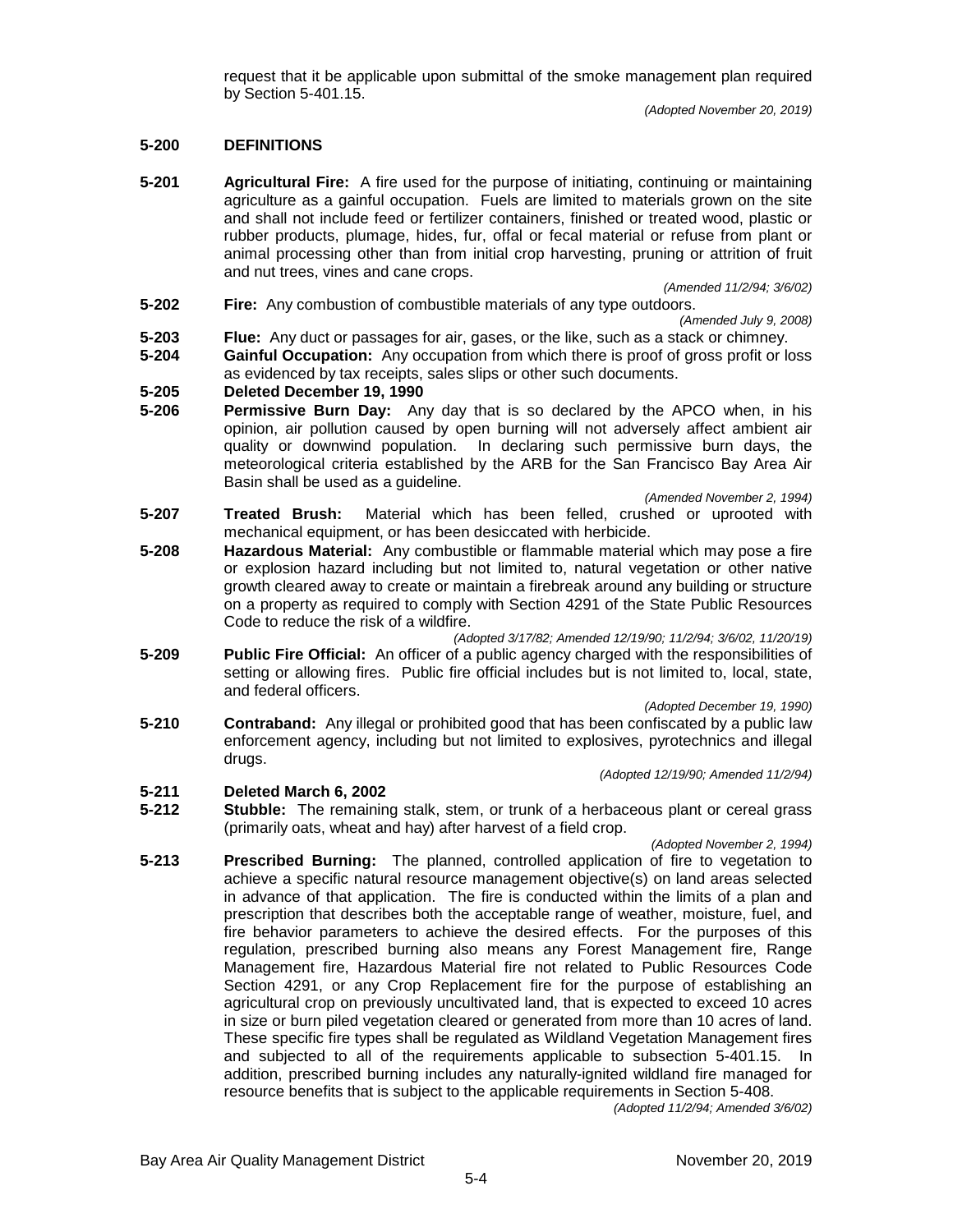request that it be applicable upon submittal of the smoke management plan required by Section 5-401.15.

# **5-200 DEFINITIONS**

**5-201 Agricultural Fire:** A fire used for the purpose of initiating, continuing or maintaining agriculture as a gainful occupation. Fuels are limited to materials grown on the site and shall not include feed or fertilizer containers, finished or treated wood, plastic or rubber products, plumage, hides, fur, offal or fecal material or refuse from plant or animal processing other than from initial crop harvesting, pruning or attrition of fruit and nut trees, vines and cane crops.

*(Amended 11/2/94; 3/6/02)*

**5-202 Fire:** Any combustion of combustible materials of any type outdoors.

*(Amended July 9, 2008)*

- **5-203 Flue:** Any duct or passages for air, gases, or the like, such as a stack or chimney.
- **5-204 Gainful Occupation:** Any occupation from which there is proof of gross profit or loss as evidenced by tax receipts, sales slips or other such documents.

# **5-205 Deleted December 19, 1990**

**Permissive Burn Day:** Any day that is so declared by the APCO when, in his opinion, air pollution caused by open burning will not adversely affect ambient air quality or downwind population. In declaring such permissive burn days, the meteorological criteria established by the ARB for the San Francisco Bay Area Air Basin shall be used as a guideline.

*(Amended November 2, 1994)*

- **5-207 Treated Brush:** Material which has been felled, crushed or uprooted with mechanical equipment, or has been desiccated with herbicide.
- **5-208 Hazardous Material:** Any combustible or flammable material which may pose a fire or explosion hazard including but not limited to, natural vegetation or other native growth cleared away to create or maintain a firebreak around any building or structure on a property as required to comply with Section 4291 of the State Public Resources Code to reduce the risk of a wildfire.

*(Adopted 3/17/82; Amended 12/19/90; 11/2/94; 3/6/02, 11/20/19)*

**5-209 Public Fire Official:** An officer of a public agency charged with the responsibilities of setting or allowing fires. Public fire official includes but is not limited to, local, state, and federal officers.

*(Adopted December 19, 1990)*

**5-210 Contraband:** Any illegal or prohibited good that has been confiscated by a public law enforcement agency, including but not limited to explosives, pyrotechnics and illegal drugs.

*(Adopted 12/19/90; Amended 11/2/94)*

#### **5-211 Deleted March 6, 2002**

**5-212 Stubble:** The remaining stalk, stem, or trunk of a herbaceous plant or cereal grass (primarily oats, wheat and hay) after harvest of a field crop.

*(Adopted November 2, 1994)*

**5-213 Prescribed Burning:** The planned, controlled application of fire to vegetation to achieve a specific natural resource management objective(s) on land areas selected in advance of that application. The fire is conducted within the limits of a plan and prescription that describes both the acceptable range of weather, moisture, fuel, and fire behavior parameters to achieve the desired effects. For the purposes of this regulation, prescribed burning also means any Forest Management fire, Range Management fire, Hazardous Material fire not related to Public Resources Code Section 4291, or any Crop Replacement fire for the purpose of establishing an agricultural crop on previously uncultivated land, that is expected to exceed 10 acres in size or burn piled vegetation cleared or generated from more than 10 acres of land. These specific fire types shall be regulated as Wildland Vegetation Management fires and subjected to all of the requirements applicable to subsection 5-401.15. In addition, prescribed burning includes any naturally-ignited wildland fire managed for resource benefits that is subject to the applicable requirements in Section 5-408.

*(Adopted 11/2/94; Amended 3/6/02)*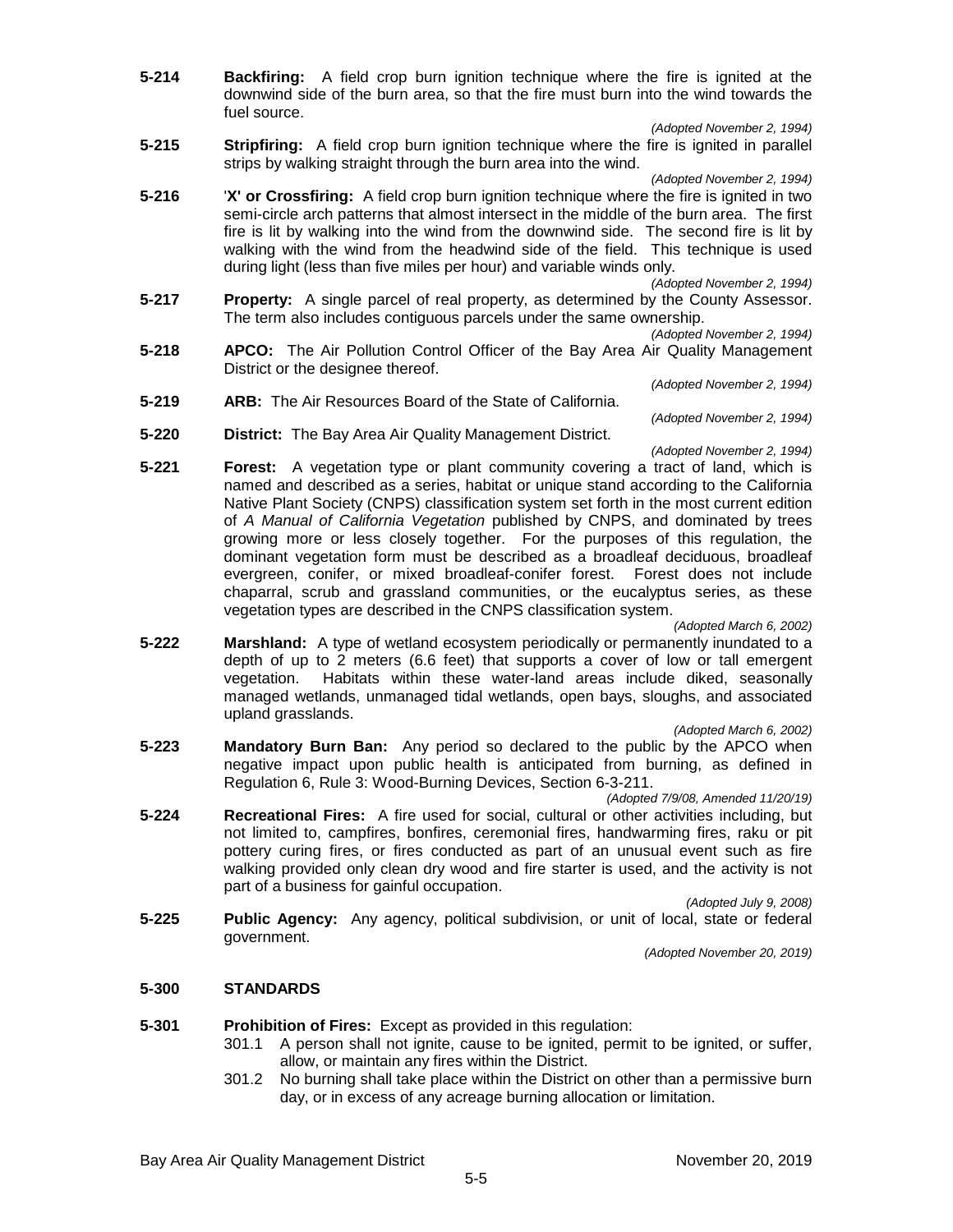- **5-214 Backfiring:** A field crop burn ignition technique where the fire is ignited at the downwind side of the burn area, so that the fire must burn into the wind towards the fuel source.
	- *(Adopted November 2, 1994)*
- **5-215 Stripfiring:** A field crop burn ignition technique where the fire is ignited in parallel strips by walking straight through the burn area into the wind.

*(Adopted November 2, 1994)*

**5-216** '**X' or Crossfiring:** A field crop burn ignition technique where the fire is ignited in two semi-circle arch patterns that almost intersect in the middle of the burn area. The first fire is lit by walking into the wind from the downwind side. The second fire is lit by walking with the wind from the headwind side of the field. This technique is used during light (less than five miles per hour) and variable winds only.

*(Adopted November 2, 1994)*

**5-217 Property:** A single parcel of real property, as determined by the County Assessor. The term also includes contiguous parcels under the same ownership.

*(Adopted November 2, 1994)*

*(Adopted November 2, 1994)*

- **5-218 APCO:** The Air Pollution Control Officer of the Bay Area Air Quality Management District or the designee thereof.
- *(Adopted November 2, 1994)* **5-219 ARB:** The Air Resources Board of the State of California.
- **5-220 District:** The Bay Area Air Quality Management District.
- *(Adopted November 2, 1994)* **5-221 Forest:** A vegetation type or plant community covering a tract of land, which is named and described as a series, habitat or unique stand according to the California Native Plant Society (CNPS) classification system set forth in the most current edition of *A Manual of California Vegetation* published by CNPS, and dominated by trees growing more or less closely together. For the purposes of this regulation, the dominant vegetation form must be described as a broadleaf deciduous, broadleaf evergreen, conifer, or mixed broadleaf-conifer forest. Forest does not include chaparral, scrub and grassland communities, or the eucalyptus series, as these vegetation types are described in the CNPS classification system.

*(Adopted March 6, 2002)*

**5-222 Marshland:** A type of wetland ecosystem periodically or permanently inundated to a depth of up to 2 meters (6.6 feet) that supports a cover of low or tall emergent vegetation. Habitats within these water-land areas include diked, seasonally managed wetlands, unmanaged tidal wetlands, open bays, sloughs, and associated upland grasslands.

*(Adopted March 6, 2002)*

**5-223 Mandatory Burn Ban:** Any period so declared to the public by the APCO when negative impact upon public health is anticipated from burning, as defined in Regulation 6, Rule 3: Wood-Burning Devices, Section 6-3-211.

*(Adopted 7/9/08, Amended 11/20/19)*

**5-224 Recreational Fires:** A fire used for social, cultural or other activities including, but not limited to, campfires, bonfires, ceremonial fires, handwarming fires, raku or pit pottery curing fires, or fires conducted as part of an unusual event such as fire walking provided only clean dry wood and fire starter is used, and the activity is not part of a business for gainful occupation.

*(Adopted July 9, 2008)*

**5-225 Public Agency:** Any agency, political subdivision, or unit of local, state or federal government.

*(Adopted November 20, 2019)*

# **5-300 STANDARDS**

**5-301 Prohibition of Fires:** Except as provided in this regulation:

- 301.1 A person shall not ignite, cause to be ignited, permit to be ignited, or suffer, allow, or maintain any fires within the District.
- 301.2 No burning shall take place within the District on other than a permissive burn day, or in excess of any acreage burning allocation or limitation.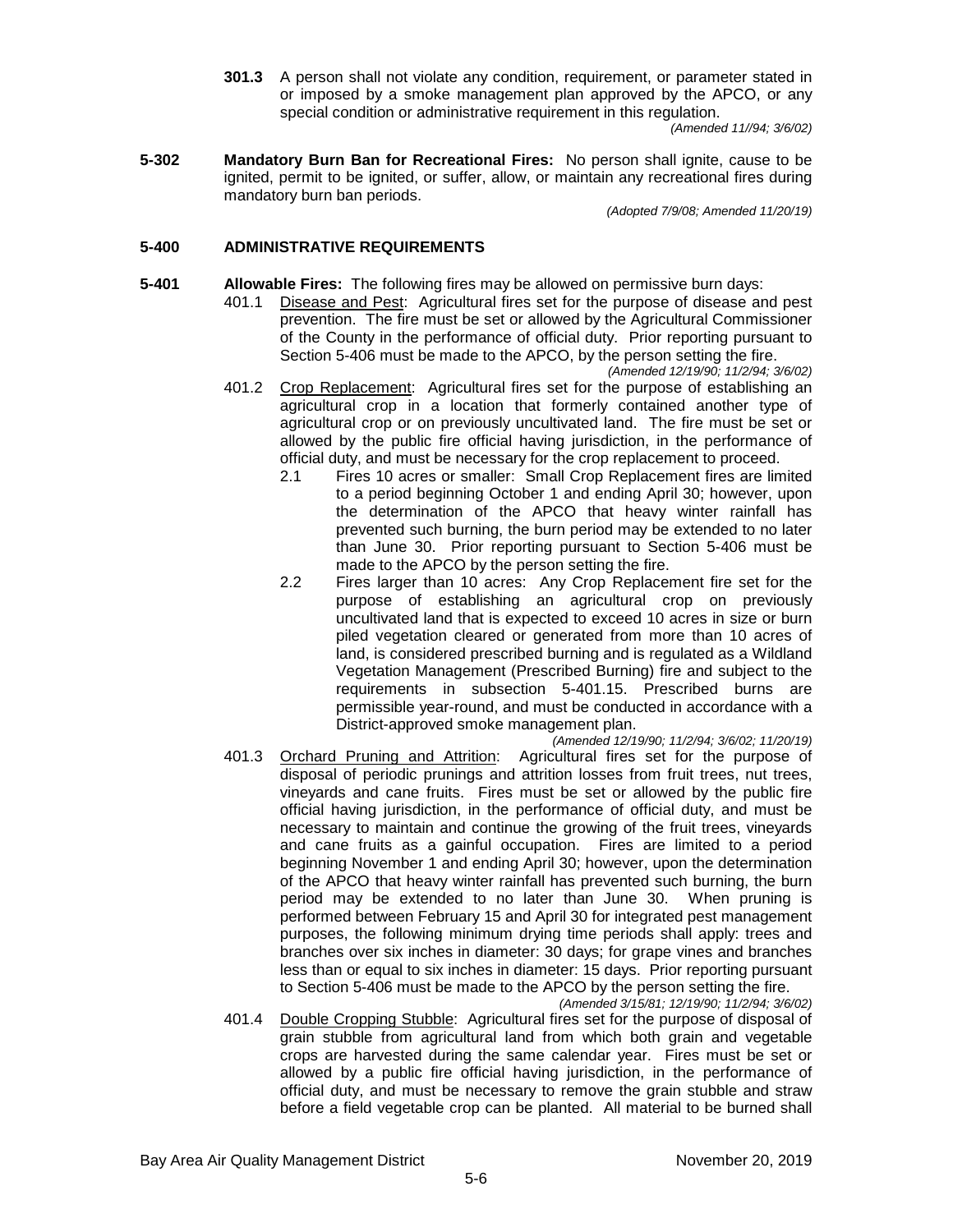**301.3** A person shall not violate any condition, requirement, or parameter stated in or imposed by a smoke management plan approved by the APCO, or any special condition or administrative requirement in this regulation.

*(Amended 11//94; 3/6/02)*

**5-302 Mandatory Burn Ban for Recreational Fires:** No person shall ignite, cause to be ignited, permit to be ignited, or suffer, allow, or maintain any recreational fires during mandatory burn ban periods.

*(Adopted 7/9/08; Amended 11/20/19)*

# **5-400 ADMINISTRATIVE REQUIREMENTS**

**5-401 Allowable Fires:** The following fires may be allowed on permissive burn days:

401.1 Disease and Pest: Agricultural fires set for the purpose of disease and pest prevention. The fire must be set or allowed by the Agricultural Commissioner of the County in the performance of official duty. Prior reporting pursuant to Section 5-406 must be made to the APCO, by the person setting the fire.

*(Amended 12/19/90; 11/2/94; 3/6/02)*

- 401.2 Crop Replacement: Agricultural fires set for the purpose of establishing an agricultural crop in a location that formerly contained another type of agricultural crop or on previously uncultivated land. The fire must be set or allowed by the public fire official having jurisdiction, in the performance of official duty, and must be necessary for the crop replacement to proceed.
	- 2.1 Fires 10 acres or smaller: Small Crop Replacement fires are limited to a period beginning October 1 and ending April 30; however, upon the determination of the APCO that heavy winter rainfall has prevented such burning, the burn period may be extended to no later than June 30. Prior reporting pursuant to Section 5-406 must be made to the APCO by the person setting the fire.
	- 2.2 Fires larger than 10 acres: Any Crop Replacement fire set for the purpose of establishing an agricultural crop on previously uncultivated land that is expected to exceed 10 acres in size or burn piled vegetation cleared or generated from more than 10 acres of land, is considered prescribed burning and is regulated as a Wildland Vegetation Management (Prescribed Burning) fire and subject to the requirements in subsection 5-401.15. Prescribed burns are permissible year-round, and must be conducted in accordance with a District-approved smoke management plan.

*(Amended 12/19/90; 11/2/94; 3/6/02; 11/20/19)*

401.3 Orchard Pruning and Attrition: Agricultural fires set for the purpose of disposal of periodic prunings and attrition losses from fruit trees, nut trees, vineyards and cane fruits. Fires must be set or allowed by the public fire official having jurisdiction, in the performance of official duty, and must be necessary to maintain and continue the growing of the fruit trees, vineyards and cane fruits as a gainful occupation. Fires are limited to a period beginning November 1 and ending April 30; however, upon the determination of the APCO that heavy winter rainfall has prevented such burning, the burn period may be extended to no later than June 30. When pruning is performed between February 15 and April 30 for integrated pest management purposes, the following minimum drying time periods shall apply: trees and branches over six inches in diameter: 30 days; for grape vines and branches less than or equal to six inches in diameter: 15 days. Prior reporting pursuant to Section 5-406 must be made to the APCO by the person setting the fire.

*(Amended 3/15/81; 12/19/90; 11/2/94; 3/6/02)*

401.4 Double Cropping Stubble: Agricultural fires set for the purpose of disposal of grain stubble from agricultural land from which both grain and vegetable crops are harvested during the same calendar year. Fires must be set or allowed by a public fire official having jurisdiction, in the performance of official duty, and must be necessary to remove the grain stubble and straw before a field vegetable crop can be planted. All material to be burned shall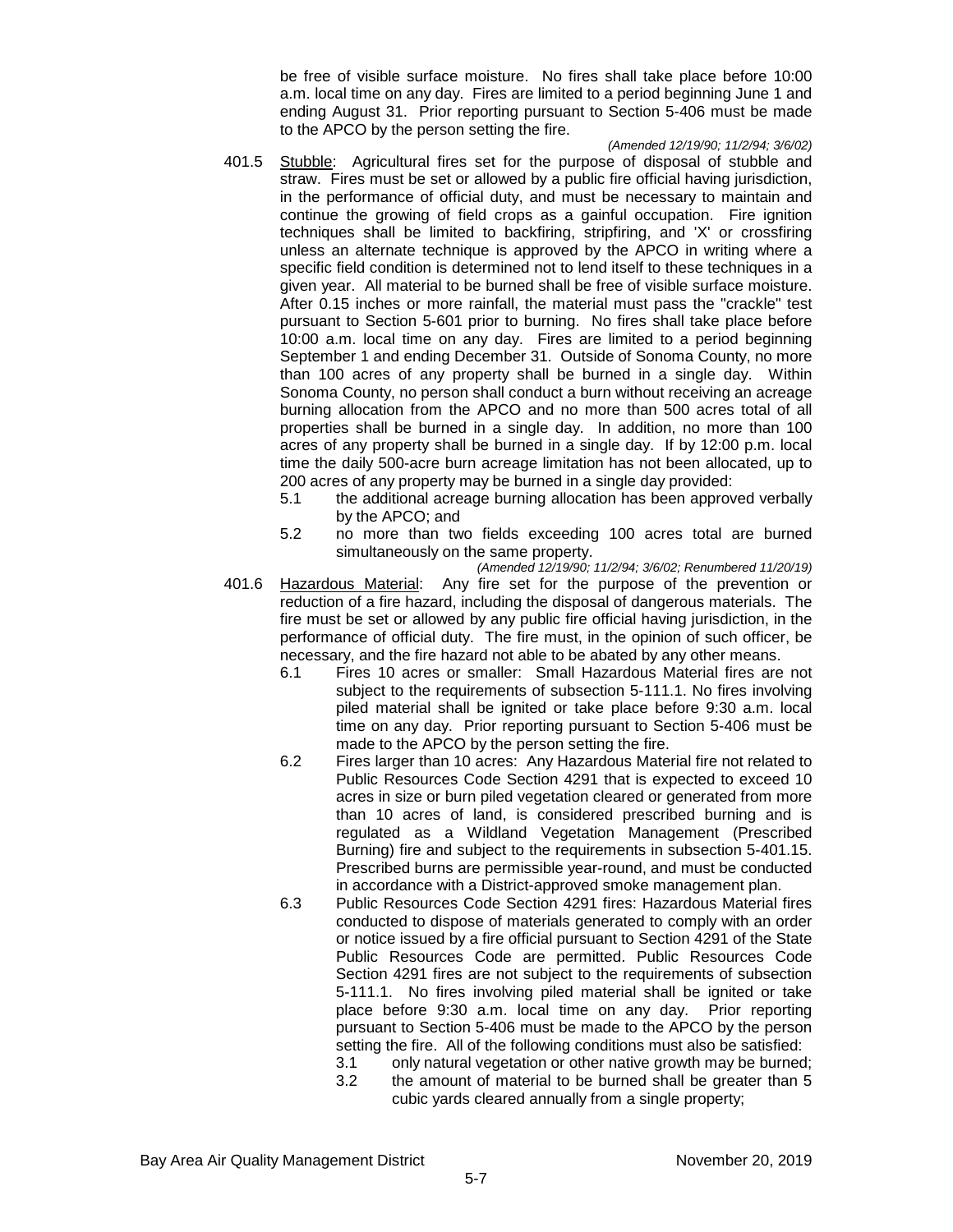be free of visible surface moisture. No fires shall take place before 10:00 a.m. local time on any day. Fires are limited to a period beginning June 1 and ending August 31. Prior reporting pursuant to Section 5-406 must be made to the APCO by the person setting the fire.

*(Amended 12/19/90; 11/2/94; 3/6/02)*

- 401.5 Stubble: Agricultural fires set for the purpose of disposal of stubble and straw. Fires must be set or allowed by a public fire official having jurisdiction, in the performance of official duty, and must be necessary to maintain and continue the growing of field crops as a gainful occupation. Fire ignition techniques shall be limited to backfiring, stripfiring, and 'X' or crossfiring unless an alternate technique is approved by the APCO in writing where a specific field condition is determined not to lend itself to these techniques in a given year. All material to be burned shall be free of visible surface moisture. After 0.15 inches or more rainfall, the material must pass the "crackle" test pursuant to Section 5-601 prior to burning. No fires shall take place before 10:00 a.m. local time on any day. Fires are limited to a period beginning September 1 and ending December 31. Outside of Sonoma County, no more than 100 acres of any property shall be burned in a single day. Within Sonoma County, no person shall conduct a burn without receiving an acreage burning allocation from the APCO and no more than 500 acres total of all properties shall be burned in a single day. In addition, no more than 100 acres of any property shall be burned in a single day. If by 12:00 p.m. local time the daily 500-acre burn acreage limitation has not been allocated, up to 200 acres of any property may be burned in a single day provided:
	- 5.1 the additional acreage burning allocation has been approved verbally by the APCO; and
	- 5.2 no more than two fields exceeding 100 acres total are burned simultaneously on the same property.
- *(Amended 12/19/90; 11/2/94; 3/6/02; Renumbered 11/20/19)* 401.6 Hazardous Material: Any fire set for the purpose of the prevention or reduction of a fire hazard, including the disposal of dangerous materials. The fire must be set or allowed by any public fire official having jurisdiction, in the performance of official duty. The fire must, in the opinion of such officer, be necessary, and the fire hazard not able to be abated by any other means.
	- 6.1 Fires 10 acres or smaller: Small Hazardous Material fires are not subject to the requirements of subsection 5-111.1. No fires involving piled material shall be ignited or take place before 9:30 a.m. local time on any day. Prior reporting pursuant to Section 5-406 must be made to the APCO by the person setting the fire.
	- 6.2 Fires larger than 10 acres: Any Hazardous Material fire not related to Public Resources Code Section 4291 that is expected to exceed 10 acres in size or burn piled vegetation cleared or generated from more than 10 acres of land, is considered prescribed burning and is regulated as a Wildland Vegetation Management (Prescribed Burning) fire and subject to the requirements in subsection 5-401.15. Prescribed burns are permissible year-round, and must be conducted in accordance with a District-approved smoke management plan.
	- 6.3 Public Resources Code Section 4291 fires: Hazardous Material fires conducted to dispose of materials generated to comply with an order or notice issued by a fire official pursuant to Section 4291 of the State Public Resources Code are permitted. Public Resources Code Section 4291 fires are not subject to the requirements of subsection 5-111.1. No fires involving piled material shall be ignited or take place before 9:30 a.m. local time on any day. Prior reporting pursuant to Section 5-406 must be made to the APCO by the person setting the fire. All of the following conditions must also be satisfied:
		- 3.1 only natural vegetation or other native growth may be burned;
		- 3.2 the amount of material to be burned shall be greater than 5 cubic yards cleared annually from a single property;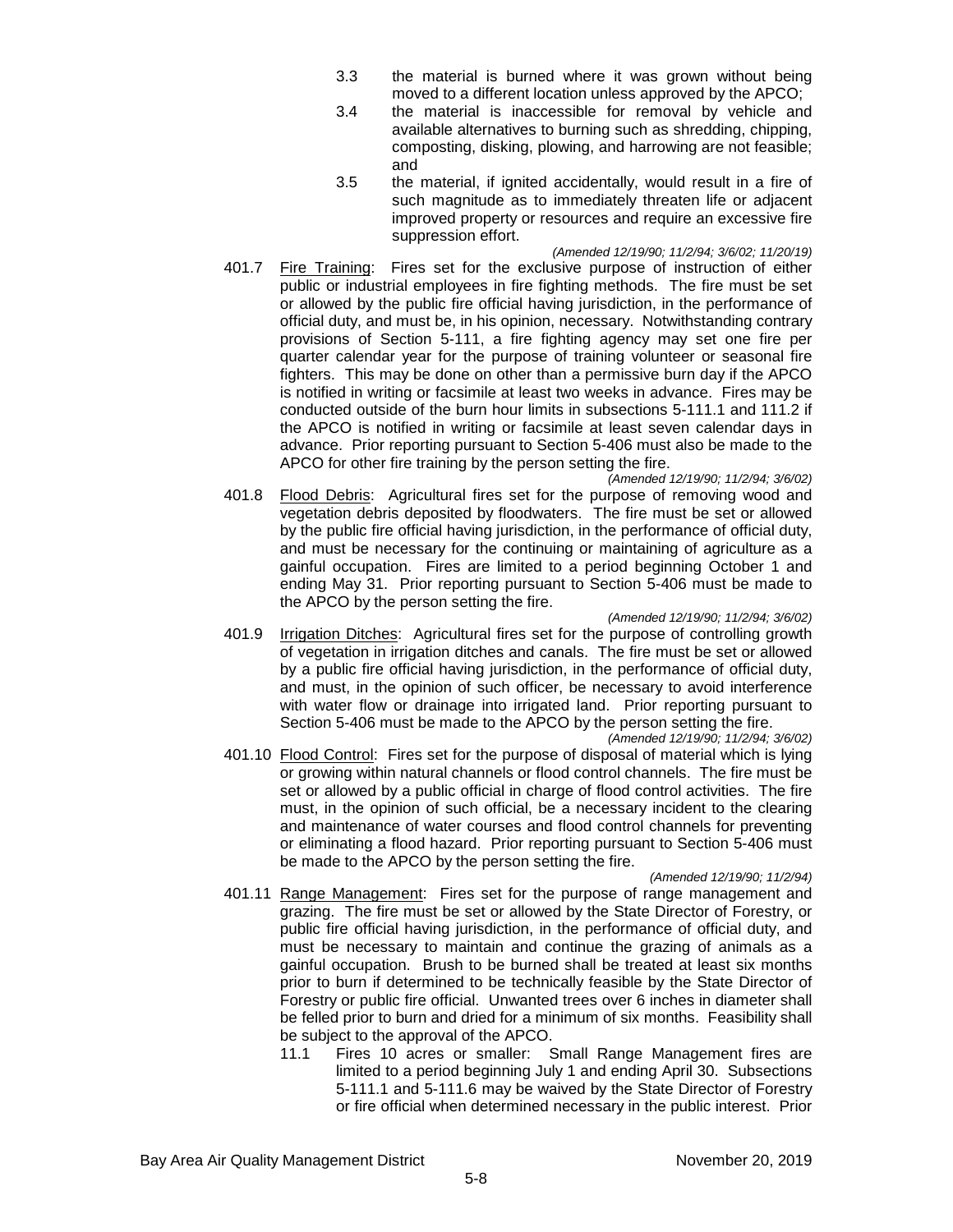- 3.3 the material is burned where it was grown without being moved to a different location unless approved by the APCO;
- 3.4 the material is inaccessible for removal by vehicle and available alternatives to burning such as shredding, chipping, composting, disking, plowing, and harrowing are not feasible; and
- 3.5 the material, if ignited accidentally, would result in a fire of such magnitude as to immediately threaten life or adjacent improved property or resources and require an excessive fire suppression effort.
- *(Amended 12/19/90; 11/2/94; 3/6/02; 11/20/19)* 401.7 Fire Training: Fires set for the exclusive purpose of instruction of either public or industrial employees in fire fighting methods. The fire must be set or allowed by the public fire official having jurisdiction, in the performance of official duty, and must be, in his opinion, necessary. Notwithstanding contrary provisions of Section 5-111, a fire fighting agency may set one fire per quarter calendar year for the purpose of training volunteer or seasonal fire fighters. This may be done on other than a permissive burn day if the APCO is notified in writing or facsimile at least two weeks in advance. Fires may be conducted outside of the burn hour limits in subsections 5-111.1 and 111.2 if the APCO is notified in writing or facsimile at least seven calendar days in advance. Prior reporting pursuant to Section 5-406 must also be made to the APCO for other fire training by the person setting the fire.
- *(Amended 12/19/90; 11/2/94; 3/6/02)* 401.8 Flood Debris: Agricultural fires set for the purpose of removing wood and vegetation debris deposited by floodwaters. The fire must be set or allowed by the public fire official having jurisdiction, in the performance of official duty, and must be necessary for the continuing or maintaining of agriculture as a gainful occupation. Fires are limited to a period beginning October 1 and ending May 31. Prior reporting pursuant to Section 5-406 must be made to the APCO by the person setting the fire.

#### *(Amended 12/19/90; 11/2/94; 3/6/02)*

401.9 Irrigation Ditches: Agricultural fires set for the purpose of controlling growth of vegetation in irrigation ditches and canals. The fire must be set or allowed by a public fire official having jurisdiction, in the performance of official duty, and must, in the opinion of such officer, be necessary to avoid interference with water flow or drainage into irrigated land. Prior reporting pursuant to Section 5-406 must be made to the APCO by the person setting the fire.

*(Amended 12/19/90; 11/2/94; 3/6/02)* 401.10 Flood Control: Fires set for the purpose of disposal of material which is lying or growing within natural channels or flood control channels. The fire must be set or allowed by a public official in charge of flood control activities. The fire must, in the opinion of such official, be a necessary incident to the clearing and maintenance of water courses and flood control channels for preventing or eliminating a flood hazard. Prior reporting pursuant to Section 5-406 must be made to the APCO by the person setting the fire.

#### *(Amended 12/19/90; 11/2/94)*

- 401.11 Range Management: Fires set for the purpose of range management and grazing. The fire must be set or allowed by the State Director of Forestry, or public fire official having jurisdiction, in the performance of official duty, and must be necessary to maintain and continue the grazing of animals as a gainful occupation. Brush to be burned shall be treated at least six months prior to burn if determined to be technically feasible by the State Director of Forestry or public fire official. Unwanted trees over 6 inches in diameter shall be felled prior to burn and dried for a minimum of six months. Feasibility shall be subject to the approval of the APCO.
	- 11.1 Fires 10 acres or smaller: Small Range Management fires are limited to a period beginning July 1 and ending April 30. Subsections 5-111.1 and 5-111.6 may be waived by the State Director of Forestry or fire official when determined necessary in the public interest. Prior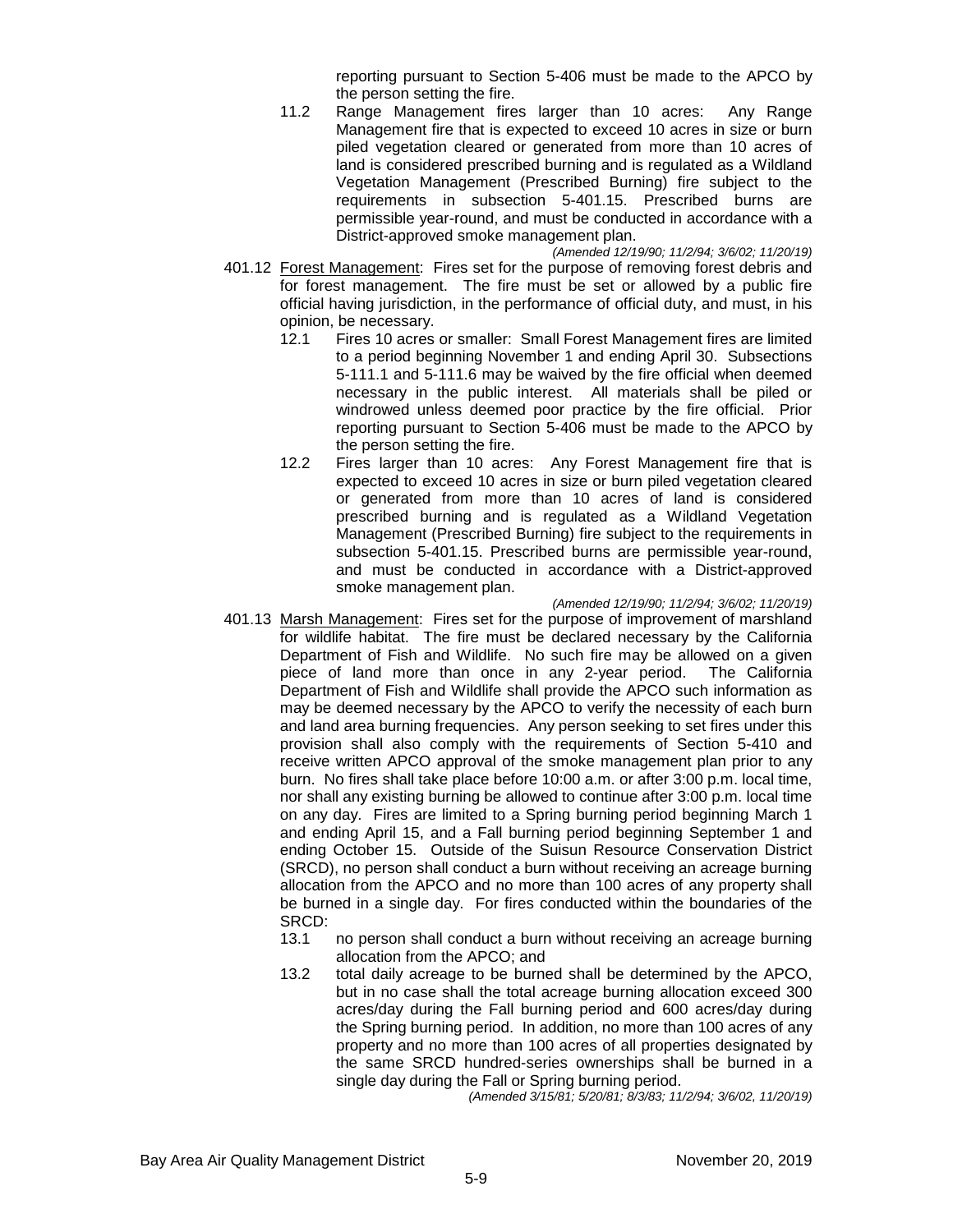reporting pursuant to Section 5-406 must be made to the APCO by the person setting the fire.

11.2 Range Management fires larger than 10 acres: Any Range Management fire that is expected to exceed 10 acres in size or burn piled vegetation cleared or generated from more than 10 acres of land is considered prescribed burning and is regulated as a Wildland Vegetation Management (Prescribed Burning) fire subject to the requirements in subsection 5-401.15. Prescribed burns are permissible year-round, and must be conducted in accordance with a District-approved smoke management plan.

*(Amended 12/19/90; 11/2/94; 3/6/02; 11/20/19)*

- 401.12 Forest Management: Fires set for the purpose of removing forest debris and for forest management. The fire must be set or allowed by a public fire official having jurisdiction, in the performance of official duty, and must, in his opinion, be necessary.<br>12.1 Fires 10 acres
	- Fires 10 acres or smaller: Small Forest Management fires are limited to a period beginning November 1 and ending April 30. Subsections 5-111.1 and 5-111.6 may be waived by the fire official when deemed necessary in the public interest. All materials shall be piled or windrowed unless deemed poor practice by the fire official. Prior reporting pursuant to Section 5-406 must be made to the APCO by the person setting the fire.
	- 12.2 Fires larger than 10 acres: Any Forest Management fire that is expected to exceed 10 acres in size or burn piled vegetation cleared or generated from more than 10 acres of land is considered prescribed burning and is regulated as a Wildland Vegetation Management (Prescribed Burning) fire subject to the requirements in subsection 5-401.15. Prescribed burns are permissible year-round, and must be conducted in accordance with a District-approved smoke management plan.
- *(Amended 12/19/90; 11/2/94; 3/6/02; 11/20/19)* 401.13 Marsh Management: Fires set for the purpose of improvement of marshland for wildlife habitat. The fire must be declared necessary by the California Department of Fish and Wildlife. No such fire may be allowed on a given piece of land more than once in any 2-year period. The California Department of Fish and Wildlife shall provide the APCO such information as may be deemed necessary by the APCO to verify the necessity of each burn and land area burning frequencies. Any person seeking to set fires under this provision shall also comply with the requirements of Section 5-410 and receive written APCO approval of the smoke management plan prior to any burn. No fires shall take place before 10:00 a.m. or after 3:00 p.m. local time, nor shall any existing burning be allowed to continue after 3:00 p.m. local time on any day. Fires are limited to a Spring burning period beginning March 1 and ending April 15, and a Fall burning period beginning September 1 and ending October 15. Outside of the Suisun Resource Conservation District (SRCD), no person shall conduct a burn without receiving an acreage burning allocation from the APCO and no more than 100 acres of any property shall be burned in a single day. For fires conducted within the boundaries of the SRCD:<br>13.1
	- 13.1 no person shall conduct a burn without receiving an acreage burning allocation from the APCO; and
	- 13.2 total daily acreage to be burned shall be determined by the APCO, but in no case shall the total acreage burning allocation exceed 300 acres/day during the Fall burning period and 600 acres/day during the Spring burning period. In addition, no more than 100 acres of any property and no more than 100 acres of all properties designated by the same SRCD hundred-series ownerships shall be burned in a single day during the Fall or Spring burning period.

*(Amended 3/15/81; 5/20/81; 8/3/83; 11/2/94; 3/6/02, 11/20/19)*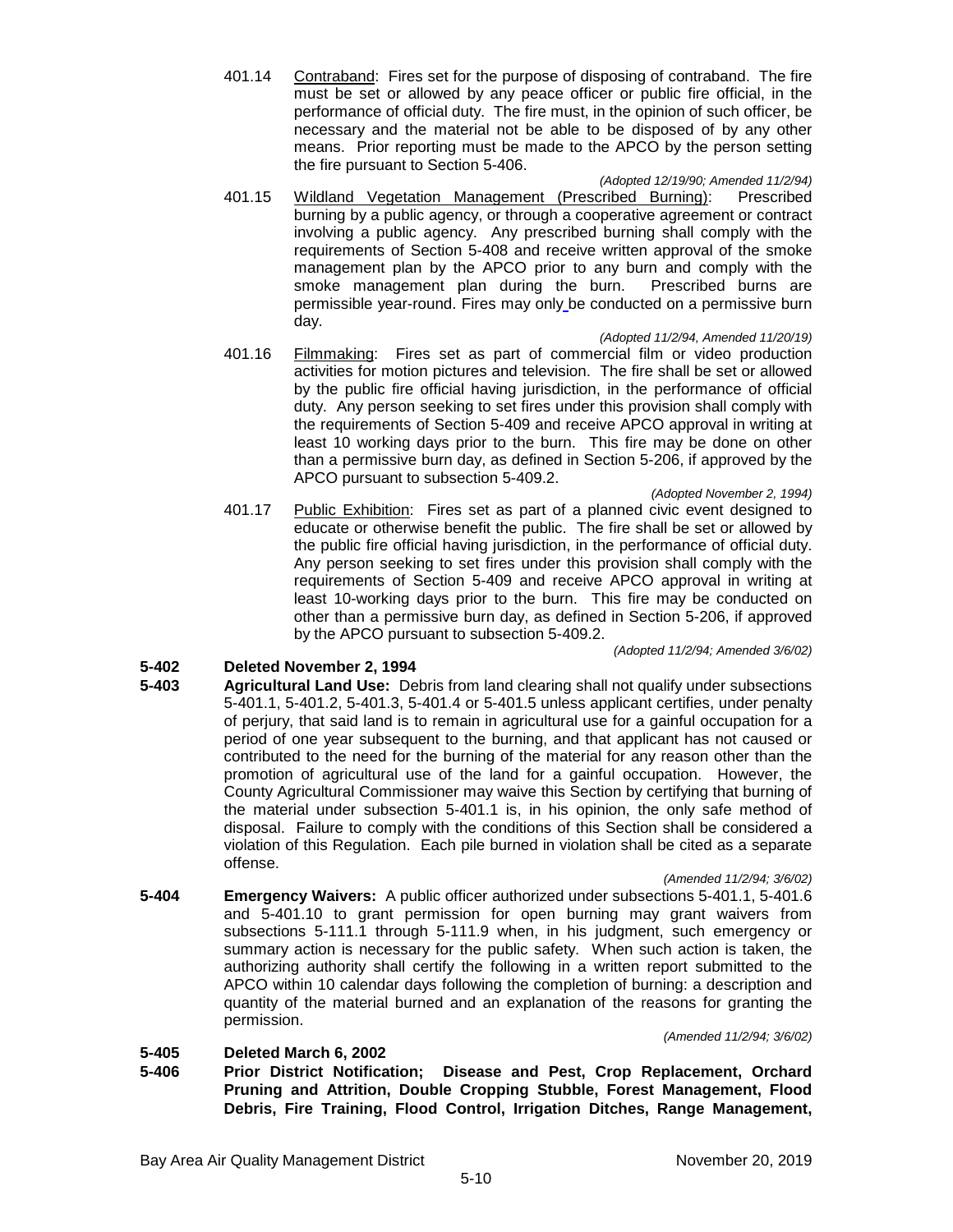401.14 Contraband: Fires set for the purpose of disposing of contraband. The fire must be set or allowed by any peace officer or public fire official, in the performance of official duty. The fire must, in the opinion of such officer, be necessary and the material not be able to be disposed of by any other means. Prior reporting must be made to the APCO by the person setting the fire pursuant to Section 5-406.

#### *(Adopted 12/19/90; Amended 11/2/94)*

401.15 Wildland Vegetation Management (Prescribed Burning): Prescribed burning by a public agency, or through a cooperative agreement or contract involving a public agency. Any prescribed burning shall comply with the requirements of Section 5-408 and receive written approval of the smoke management plan by the APCO prior to any burn and comply with the smoke management plan during the burn. Prescribed burns are permissible year-round. Fires may only be conducted on a permissive burn day.

# *(Adopted 11/2/94, Amended 11/20/19)*

401.16 Filmmaking: Fires set as part of commercial film or video production activities for motion pictures and television. The fire shall be set or allowed by the public fire official having jurisdiction, in the performance of official duty. Any person seeking to set fires under this provision shall comply with the requirements of Section 5-409 and receive APCO approval in writing at least 10 working days prior to the burn. This fire may be done on other than a permissive burn day, as defined in Section 5-206, if approved by the APCO pursuant to subsection 5-409.2.

#### *(Adopted November 2, 1994)*

401.17 Public Exhibition: Fires set as part of a planned civic event designed to educate or otherwise benefit the public. The fire shall be set or allowed by the public fire official having jurisdiction, in the performance of official duty. Any person seeking to set fires under this provision shall comply with the requirements of Section 5-409 and receive APCO approval in writing at least 10-working days prior to the burn. This fire may be conducted on other than a permissive burn day, as defined in Section 5-206, if approved by the APCO pursuant to subsection 5-409.2.

*(Adopted 11/2/94; Amended 3/6/02)*

# **5-402 Deleted November 2, 1994**

**5-403 Agricultural Land Use:** Debris from land clearing shall not qualify under subsections 5-401.1, 5-401.2, 5-401.3, 5-401.4 or 5-401.5 unless applicant certifies, under penalty of perjury, that said land is to remain in agricultural use for a gainful occupation for a period of one year subsequent to the burning, and that applicant has not caused or contributed to the need for the burning of the material for any reason other than the promotion of agricultural use of the land for a gainful occupation. However, the County Agricultural Commissioner may waive this Section by certifying that burning of the material under subsection 5-401.1 is, in his opinion, the only safe method of disposal. Failure to comply with the conditions of this Section shall be considered a violation of this Regulation. Each pile burned in violation shall be cited as a separate offense.

#### *(Amended 11/2/94; 3/6/02)*

**5-404 Emergency Waivers:** A public officer authorized under subsections 5-401.1, 5-401.6 and 5-401.10 to grant permission for open burning may grant waivers from subsections 5-111.1 through 5-111.9 when, in his judgment, such emergency or summary action is necessary for the public safety. When such action is taken, the authorizing authority shall certify the following in a written report submitted to the APCO within 10 calendar days following the completion of burning: a description and quantity of the material burned and an explanation of the reasons for granting the permission.

#### *(Amended 11/2/94; 3/6/02)*

# **5-405 Deleted March 6, 2002**

**5-406 Prior District Notification; Disease and Pest, Crop Replacement, Orchard Pruning and Attrition, Double Cropping Stubble, Forest Management, Flood Debris, Fire Training, Flood Control, Irrigation Ditches, Range Management,**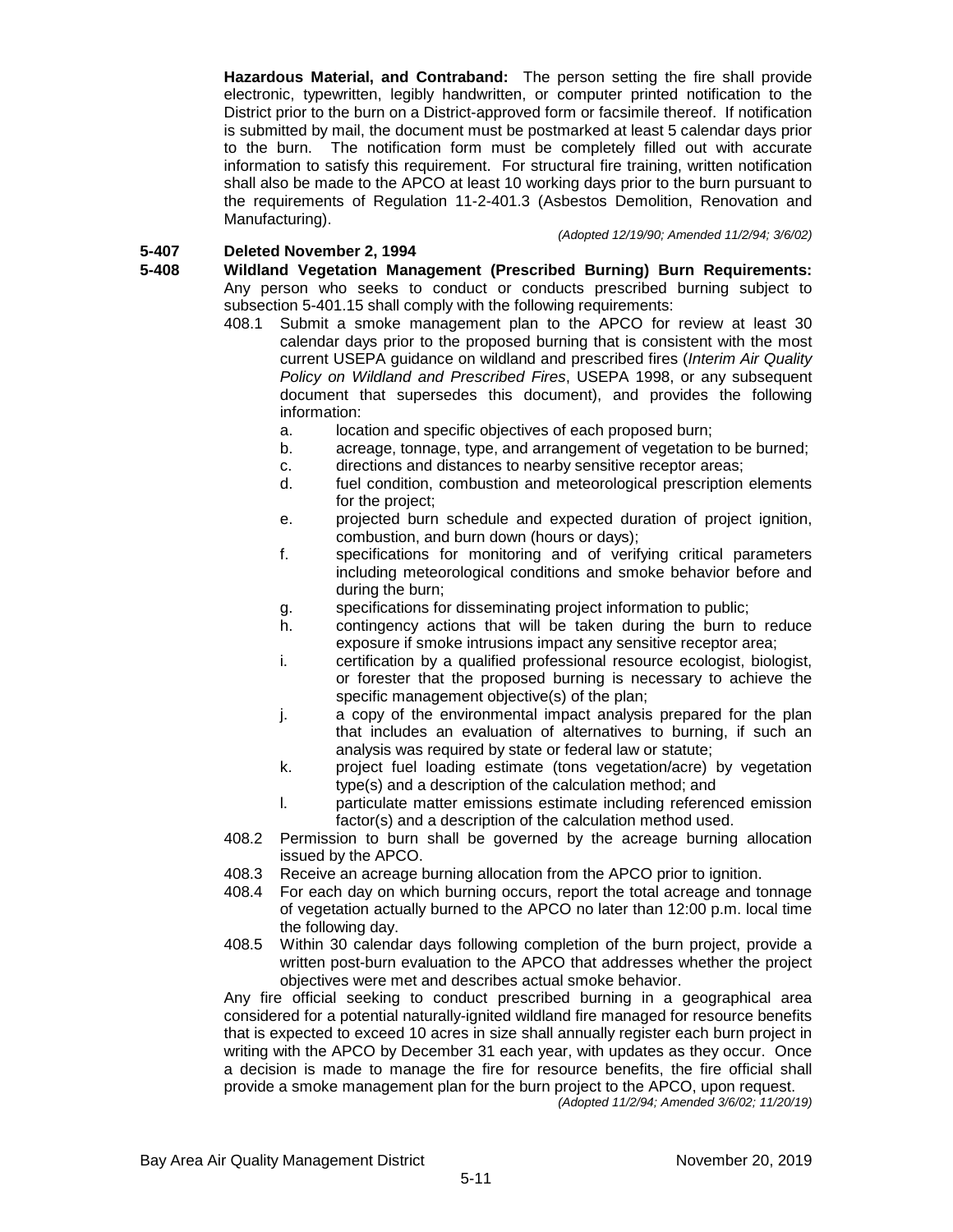**Hazardous Material, and Contraband:** The person setting the fire shall provide electronic, typewritten, legibly handwritten, or computer printed notification to the District prior to the burn on a District-approved form or facsimile thereof. If notification is submitted by mail, the document must be postmarked at least 5 calendar days prior to the burn. The notification form must be completely filled out with accurate information to satisfy this requirement. For structural fire training, written notification shall also be made to the APCO at least 10 working days prior to the burn pursuant to the requirements of Regulation 11-2-401.3 (Asbestos Demolition, Renovation and Manufacturing).

*(Adopted 12/19/90; Amended 11/2/94; 3/6/02)*

# **5-407 Deleted November 2, 1994**

**5-408 Wildland Vegetation Management (Prescribed Burning) Burn Requirements:** Any person who seeks to conduct or conducts prescribed burning subject to subsection 5-401.15 shall comply with the following requirements:

- 408.1 Submit a smoke management plan to the APCO for review at least 30 calendar days prior to the proposed burning that is consistent with the most current USEPA guidance on wildland and prescribed fires (*Interim Air Quality Policy on Wildland and Prescribed Fires*, USEPA 1998, or any subsequent document that supersedes this document), and provides the following information:
	- a. location and specific objectives of each proposed burn;
	- b. acreage, tonnage, type, and arrangement of vegetation to be burned;
	- c. directions and distances to nearby sensitive receptor areas;
	- d. fuel condition, combustion and meteorological prescription elements for the project;
	- e. projected burn schedule and expected duration of project ignition, combustion, and burn down (hours or days);
	- f. specifications for monitoring and of verifying critical parameters including meteorological conditions and smoke behavior before and during the burn;
	- g. specifications for disseminating project information to public;
	- h. contingency actions that will be taken during the burn to reduce exposure if smoke intrusions impact any sensitive receptor area;
	- i. certification by a qualified professional resource ecologist, biologist, or forester that the proposed burning is necessary to achieve the specific management objective(s) of the plan;
	- j. a copy of the environmental impact analysis prepared for the plan that includes an evaluation of alternatives to burning, if such an analysis was required by state or federal law or statute;
	- k. project fuel loading estimate (tons vegetation/acre) by vegetation type(s) and a description of the calculation method; and
	- l. particulate matter emissions estimate including referenced emission factor(s) and a description of the calculation method used.
- 408.2 Permission to burn shall be governed by the acreage burning allocation issued by the APCO.
- 408.3 Receive an acreage burning allocation from the APCO prior to ignition.
- 408.4 For each day on which burning occurs, report the total acreage and tonnage of vegetation actually burned to the APCO no later than 12:00 p.m. local time the following day.
- 408.5 Within 30 calendar days following completion of the burn project, provide a written post-burn evaluation to the APCO that addresses whether the project objectives were met and describes actual smoke behavior.

Any fire official seeking to conduct prescribed burning in a geographical area considered for a potential naturally-ignited wildland fire managed for resource benefits that is expected to exceed 10 acres in size shall annually register each burn project in writing with the APCO by December 31 each year, with updates as they occur. Once a decision is made to manage the fire for resource benefits, the fire official shall provide a smoke management plan for the burn project to the APCO, upon request. *(Adopted 11/2/94; Amended 3/6/02; 11/20/19)*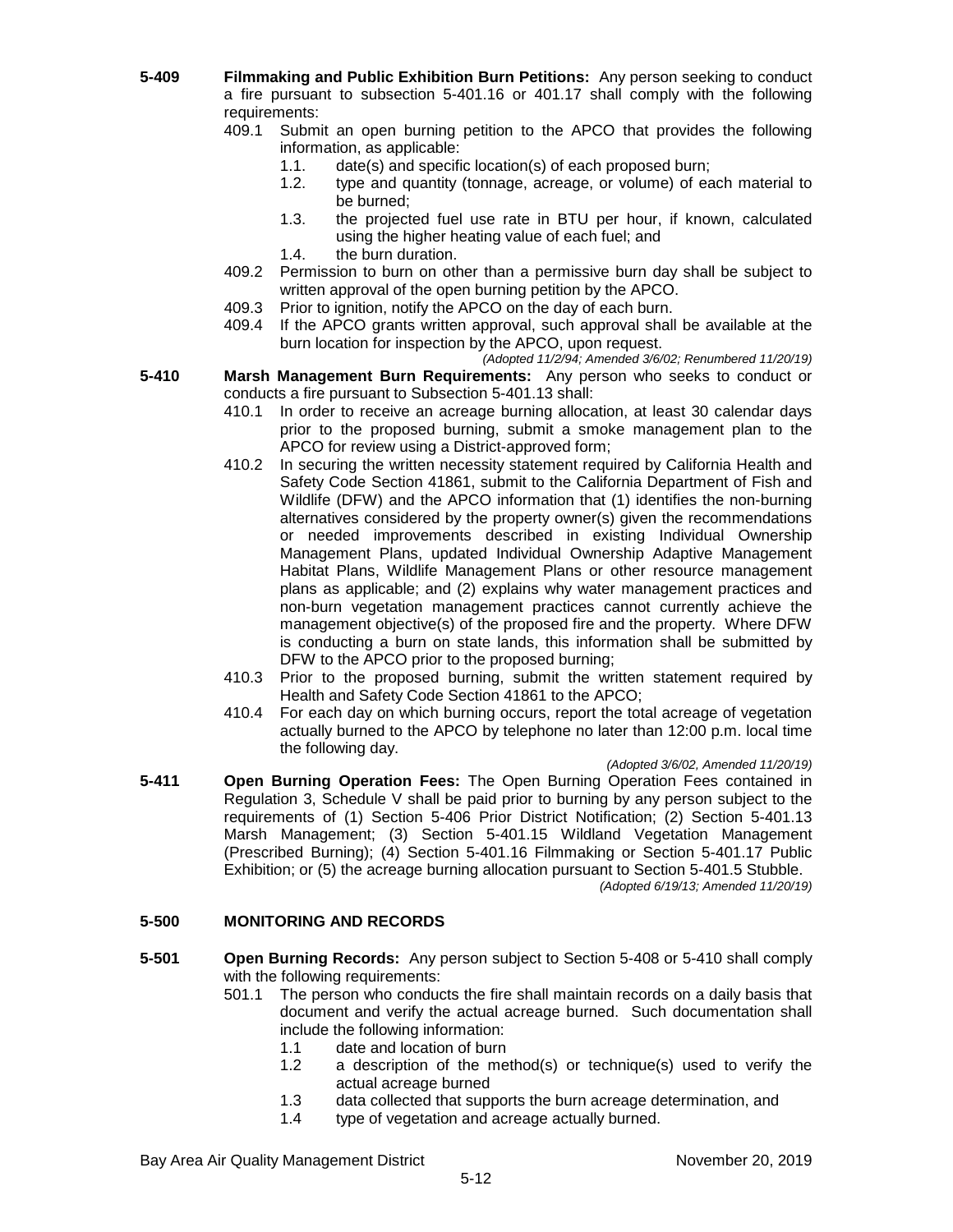- **5-409 Filmmaking and Public Exhibition Burn Petitions:** Any person seeking to conduct a fire pursuant to subsection 5-401.16 or 401.17 shall comply with the following requirements:
	- 409.1 Submit an open burning petition to the APCO that provides the following information, as applicable:
		- 1.1. date(s) and specific location(s) of each proposed burn;
		- 1.2. type and quantity (tonnage, acreage, or volume) of each material to be burned;
		- 1.3. the projected fuel use rate in BTU per hour, if known, calculated using the higher heating value of each fuel; and
		- 1.4. the burn duration.
	- 409.2 Permission to burn on other than a permissive burn day shall be subject to written approval of the open burning petition by the APCO.
	- 409.3 Prior to ignition, notify the APCO on the day of each burn.<br>409.4 If the APCO grants written approval, such approval shall
	- If the APCO grants written approval, such approval shall be available at the burn location for inspection by the APCO, upon request.
- *(Adopted 11/2/94; Amended 3/6/02; Renumbered 11/20/19)* **5-410 Marsh Management Burn Requirements:** Any person who seeks to conduct or conducts a fire pursuant to Subsection 5-401.13 shall:
	- 410.1 In order to receive an acreage burning allocation, at least 30 calendar days prior to the proposed burning, submit a smoke management plan to the APCO for review using a District-approved form;
	- 410.2 In securing the written necessity statement required by California Health and Safety Code Section 41861, submit to the California Department of Fish and Wildlife (DFW) and the APCO information that (1) identifies the non-burning alternatives considered by the property owner(s) given the recommendations or needed improvements described in existing Individual Ownership Management Plans, updated Individual Ownership Adaptive Management Habitat Plans, Wildlife Management Plans or other resource management plans as applicable; and (2) explains why water management practices and non-burn vegetation management practices cannot currently achieve the management objective(s) of the proposed fire and the property. Where DFW is conducting a burn on state lands, this information shall be submitted by DFW to the APCO prior to the proposed burning;
	- 410.3 Prior to the proposed burning, submit the written statement required by Health and Safety Code Section 41861 to the APCO;
	- 410.4 For each day on which burning occurs, report the total acreage of vegetation actually burned to the APCO by telephone no later than 12:00 p.m. local time the following day.
- *(Adopted 3/6/02, Amended 11/20/19)* **5-411 Open Burning Operation Fees:** The Open Burning Operation Fees contained in Regulation 3, Schedule V shall be paid prior to burning by any person subject to the requirements of (1) Section 5-406 Prior District Notification; (2) Section 5-401.13

Marsh Management; (3) Section 5-401.15 Wildland Vegetation Management (Prescribed Burning); (4) Section 5-401.16 Filmmaking or Section 5-401.17 Public Exhibition; or (5) the acreage burning allocation pursuant to Section 5-401.5 Stubble.

*(Adopted 6/19/13; Amended 11/20/19)*

# **5-500 MONITORING AND RECORDS**

- **5-501 Open Burning Records:** Any person subject to Section 5-408 or 5-410 shall comply with the following requirements:
	- 501.1 The person who conducts the fire shall maintain records on a daily basis that document and verify the actual acreage burned. Such documentation shall include the following information:
		- 1.1 date and location of burn
		- 1.2 a description of the method(s) or technique(s) used to verify the actual acreage burned
		- 1.3 data collected that supports the burn acreage determination, and
		- 1.4 type of vegetation and acreage actually burned.